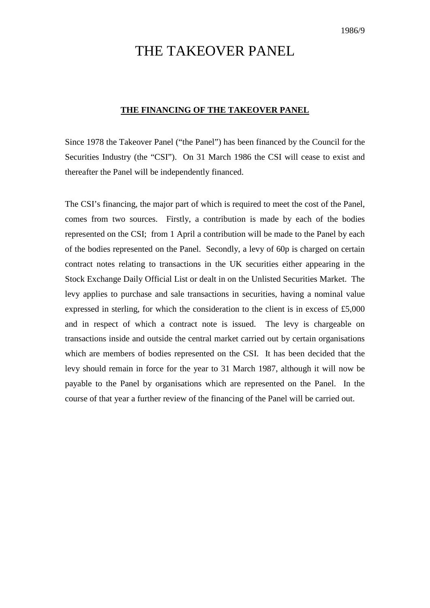# THE TAKEOVER PANEL

#### **THE FINANCING OF THE TAKEOVER PANEL**

Since 1978 the Takeover Panel ("the Panel") has been financed by the Council for the Securities Industry (the "CSI"). On 31 March 1986 the CSI will cease to exist and thereafter the Panel will be independently financed.

The CSI's financing, the major part of which is required to meet the cost of the Panel, comes from two sources. Firstly, a contribution is made by each of the bodies represented on the CSI; from 1 April a contribution will be made to the Panel by each of the bodies represented on the Panel. Secondly, a levy of 60p is charged on certain contract notes relating to transactions in the UK securities either appearing in the Stock Exchange Daily Official List or dealt in on the Unlisted Securities Market. The levy applies to purchase and sale transactions in securities, having a nominal value expressed in sterling, for which the consideration to the client is in excess of £5,000 and in respect of which a contract note is issued. The levy is chargeable on transactions inside and outside the central market carried out by certain organisations which are members of bodies represented on the CSI. It has been decided that the levy should remain in force for the year to 31 March 1987, although it will now be payable to the Panel by organisations which are represented on the Panel. In the course of that year a further review of the financing of the Panel will be carried out.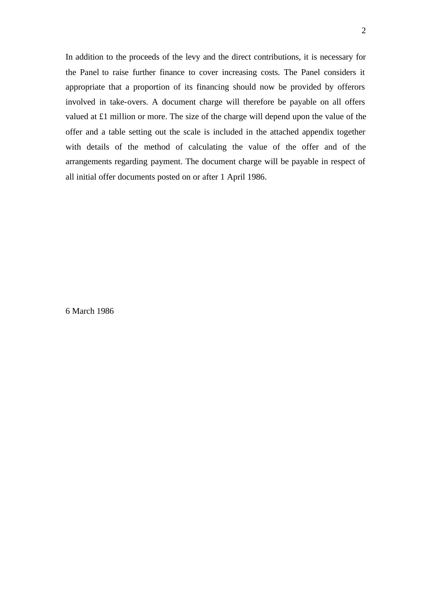In addition to the proceeds of the levy and the direct contributions, it is necessary for the Panel to raise further finance to cover increasing costs. The Panel considers it appropriate that a proportion of its financing should now be provided by offerors involved in take-overs. A document charge will therefore be payable on all offers valued at £1 million or more. The size of the charge will depend upon the value of the offer and a table setting out the scale is included in the attached appendix together with details of the method of calculating the value of the offer and of the arrangements regarding payment. The document charge will be payable in respect of all initial offer documents posted on or after 1 April 1986.

6 March 1986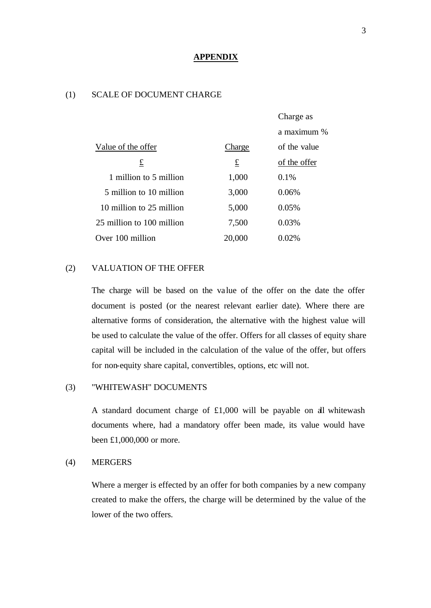#### **APPENDIX**

# (1) SCALE OF DOCUMENT CHARGE

|                           |        | Charge as    |  |
|---------------------------|--------|--------------|--|
|                           |        | a maximum %  |  |
| Value of the offer        | Charge | of the value |  |
| £                         | £      | of the offer |  |
| 1 million to 5 million    | 1,000  | $0.1\%$      |  |
| 5 million to 10 million   | 3,000  | 0.06%        |  |
| 10 million to 25 million  | 5,000  | 0.05%        |  |
| 25 million to 100 million | 7,500  | 0.03%        |  |
| Over 100 million          | 20,000 | 0.02%        |  |

# (2) VALUATION OF THE OFFER

The charge will be based on the value of the offer on the date the offer document is posted (or the nearest relevant earlier date). Where there are alternative forms of consideration, the alternative with the highest value will be used to calculate the value of the offer. Offers for all classes of equity share capital will be included in the calculation of the value of the offer, but offers for non-equity share capital, convertibles, options, etc will not.

#### (3) "WHITEWASH" DOCUMENTS

A standard document charge of £1,000 will be payable on all whitewash documents where, had a mandatory offer been made, its value would have been £1,000,000 or more.

## (4) MERGERS

Where a merger is effected by an offer for both companies by a new company created to make the offers, the charge will be determined by the value of the lower of the two offers.